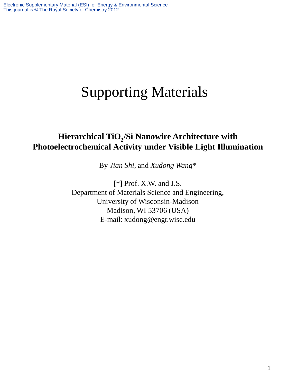## Supporting Materials

## **Hierarchical TiO<sup>2</sup> /Si Nanowire Architecture with Photoelectrochemical Activity under Visible Light Illumination**

By *Jian Shi*, and *Xudong Wang*\*

[\*] Prof. X.W. and J.S. Department of Materials Science and Engineering, University of Wisconsin-Madison Madison, WI 53706 (USA) E-mail: xudong@engr.wisc.edu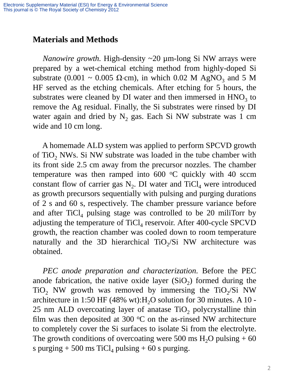## **Materials and Methods**

 *Nanowire growth.* High-density ~20 µm-long Si NW arrays were prepared by a wet-chemical etching method from highly-doped Si substrate (0.001 ~ 0.005  $\Omega$ ·cm), in which 0.02 M AgNO<sub>3</sub> and 5 M HF served as the etching chemicals. After etching for 5 hours, the substrates were cleaned by  $DI$  water and then immersed in  $HNO<sub>3</sub>$  to remove the Ag residual. Finally, the Si substrates were rinsed by DI water again and dried by  $N_2$  gas. Each Si NW substrate was 1 cm wide and 10 cm long.

 A homemade ALD system was applied to perform SPCVD growth of TiO<sub>2</sub> NWs. Si NW substrate was loaded in the tube chamber with its front side 2.5 cm away from the precursor nozzles. The chamber temperature was then ramped into  $600$  °C quickly with 40 sccm constant flow of carrier gas  $N_2$ . DI water and TiCl<sub>4</sub> were introduced as growth precursors sequentially with pulsing and purging durations of 2 s and 60 s, respectively. The chamber pressure variance before and after  $TiCl<sub>4</sub>$  pulsing stage was controlled to be 20 miliTorr by adjusting the temperature of TiCl<sub>4</sub> reservoir. After 400-cycle SPCVD growth, the reaction chamber was cooled down to room temperature naturally and the 3D hierarchical  $TiO<sub>2</sub>/Si$  NW architecture was obtained.

 *PEC anode preparation and characterization.* Before the PEC anode fabrication, the native oxide layer  $(SiO<sub>2</sub>)$  formed during the  $TiO<sub>2</sub>$  NW growth was removed by immersing the  $TiO<sub>2</sub>/Si$  NW architecture in 1:50 HF (48% wt):  $H<sub>2</sub>O$  solution for 30 minutes. A 10 - $25 \text{ nm}$  ALD overcoating layer of anatase TiO<sub>2</sub> polycrystalline thin film was then deposited at 300  $\mathrm{^{\circ}C}$  on the as-rinsed NW architecture to completely cover the Si surfaces to isolate Si from the electrolyte. The growth conditions of overcoating were 500 ms  $H_2O$  pulsing  $+60$ s purging + 500 ms  $\text{TiCl}_4$  pulsing + 60 s purging.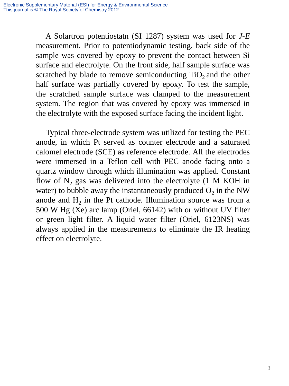A Solartron potentiostatn (SI 1287) system was used for *J-E* measurement. Prior to potentiodynamic testing, back side of the sample was covered by epoxy to prevent the contact between Si surface and electrolyte. On the front side, half sample surface was scratched by blade to remove semiconducting  $TiO<sub>2</sub>$  and the other half surface was partially covered by epoxy. To test the sample, the scratched sample surface was clamped to the measurement system. The region that was covered by epoxy was immersed in the electrolyte with the exposed surface facing the incident light.

 Typical three-electrode system was utilized for testing the PEC anode, in which Pt served as counter electrode and a saturated calomel electrode (SCE) as reference electrode. All the electrodes were immersed in a Teflon cell with PEC anode facing onto a quartz window through which illumination was applied. Constant flow of  $N_2$  gas was delivered into the electrolyte (1 M KOH in water) to bubble away the instantaneously produced  $O_2$  in the NW anode and  $H_2$  in the Pt cathode. Illumination source was from a 500 W Hg (Xe) arc lamp (Oriel, 66142) with or without UV filter or green light filter. A liquid water filter (Oriel, 6123NS) was always applied in the measurements to eliminate the IR heating effect on electrolyte.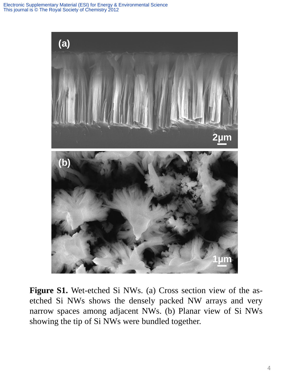Electronic Supplementary Material (ESI) for Energy & Environmental Science This journal is © The Royal Society of Chemistry 2012



**Figure S1.** Wet-etched Si NWs. (a) Cross section view of the asetched Si NWs shows the densely packed NW arrays and very narrow spaces among adjacent NWs. (b) Planar view of Si NWs showing the tip of Si NWs were bundled together.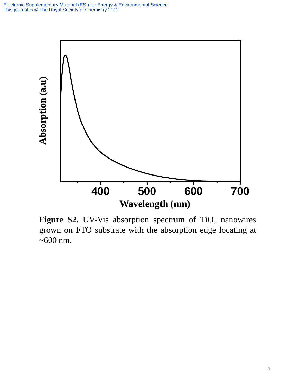

**Figure S2.** UV-Vis absorption spectrum of  $TiO<sub>2</sub>$  nanowires grown on FTO substrate with the absorption edge locating at  $~100$  nm.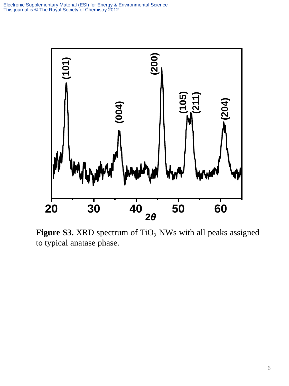

**Figure S3.** XRD spectrum of TiO<sub>2</sub> NWs with all peaks assigned to typical anatase phase.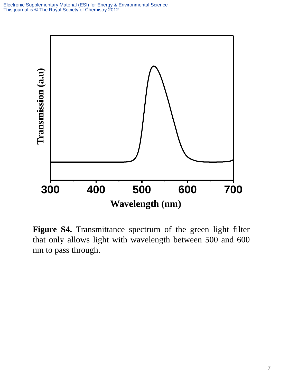

**Figure S4.** Transmittance spectrum of the green light filter that only allows light with wavelength between 500 and 600 nm to pass through.